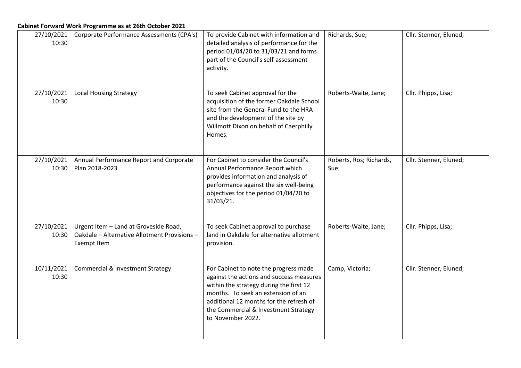| 27/10/2021<br>10:30 | Corporate Performance Assessments (CPA's)                                                                   | To provide Cabinet with information and<br>detailed analysis of performance for the<br>period 01/04/20 to 31/03/21 and forms<br>part of the Council's self-assessment<br>activity.                                                                                         | Richards, Sue;                  | Cllr. Stenner, Eluned; |
|---------------------|-------------------------------------------------------------------------------------------------------------|----------------------------------------------------------------------------------------------------------------------------------------------------------------------------------------------------------------------------------------------------------------------------|---------------------------------|------------------------|
| 27/10/2021<br>10:30 | <b>Local Housing Strategy</b>                                                                               | To seek Cabinet approval for the<br>acquisition of the former Oakdale School<br>site from the General Fund to the HRA<br>and the development of the site by<br>Willmott Dixon on behalf of Caerphilly<br>Homes.                                                            | Roberts-Waite, Jane;            | Cllr. Phipps, Lisa;    |
| 27/10/2021<br>10:30 | Annual Performance Report and Corporate<br>Plan 2018-2023                                                   | For Cabinet to consider the Council's<br>Annual Performance Report which<br>provides information and analysis of<br>performance against the six well-being<br>objectives for the period 01/04/20 to<br>31/03/21.                                                           | Roberts, Ros; Richards,<br>Sue; | Cllr. Stenner, Eluned; |
| 27/10/2021<br>10:30 | Urgent Item - Land at Groveside Road,<br>Oakdale - Alternative Allotment Provisions -<br><b>Exempt Item</b> | To seek Cabinet approval to purchase<br>land in Oakdale for alternative allotment<br>provision.                                                                                                                                                                            | Roberts-Waite, Jane;            | Cllr. Phipps, Lisa;    |
| 10/11/2021<br>10:30 | <b>Commercial &amp; Investment Strategy</b>                                                                 | For Cabinet to note the progress made<br>against the actions and success measures<br>within the strategy during the first 12<br>months. To seek an extension of an<br>additional 12 months for the refresh of<br>the Commercial & Investment Strategy<br>to November 2022. | Camp, Victoria;                 | Cllr. Stenner, Eluned; |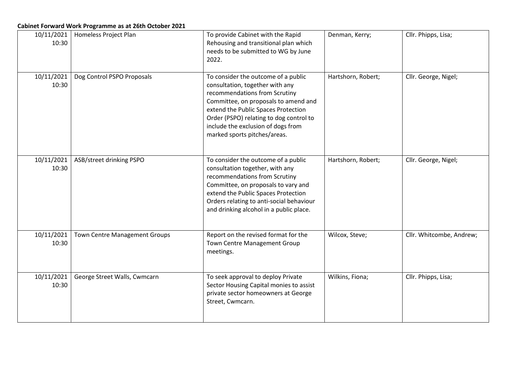| Cabinet Forward Work Programme as at 26th October 2021 |                                      |                                                                                                                                                                                                                                                                                                         |                    |                          |  |  |  |
|--------------------------------------------------------|--------------------------------------|---------------------------------------------------------------------------------------------------------------------------------------------------------------------------------------------------------------------------------------------------------------------------------------------------------|--------------------|--------------------------|--|--|--|
| 10/11/2021<br>10:30                                    | Homeless Project Plan                | To provide Cabinet with the Rapid<br>Rehousing and transitional plan which<br>needs to be submitted to WG by June<br>2022.                                                                                                                                                                              | Denman, Kerry;     | Cllr. Phipps, Lisa;      |  |  |  |
| 10/11/2021<br>10:30                                    | Dog Control PSPO Proposals           | To consider the outcome of a public<br>consultation, together with any<br>recommendations from Scrutiny<br>Committee, on proposals to amend and<br>extend the Public Spaces Protection<br>Order (PSPO) relating to dog control to<br>include the exclusion of dogs from<br>marked sports pitches/areas. | Hartshorn, Robert; | Cllr. George, Nigel;     |  |  |  |
| 10/11/2021<br>10:30                                    | ASB/street drinking PSPO             | To consider the outcome of a public<br>consultation together, with any<br>recommendations from Scrutiny<br>Committee, on proposals to vary and<br>extend the Public Spaces Protection<br>Orders relating to anti-social behaviour<br>and drinking alcohol in a public place.                            | Hartshorn, Robert; | Cllr. George, Nigel;     |  |  |  |
| 10/11/2021<br>10:30                                    | <b>Town Centre Management Groups</b> | Report on the revised format for the<br>Town Centre Management Group<br>meetings.                                                                                                                                                                                                                       | Wilcox, Steve;     | Cllr. Whitcombe, Andrew; |  |  |  |
| 10/11/2021<br>10:30                                    | George Street Walls, Cwmcarn         | To seek approval to deploy Private<br>Sector Housing Capital monies to assist<br>private sector homeowners at George<br>Street, Cwmcarn.                                                                                                                                                                | Wilkins, Fiona;    | Cllr. Phipps, Lisa;      |  |  |  |